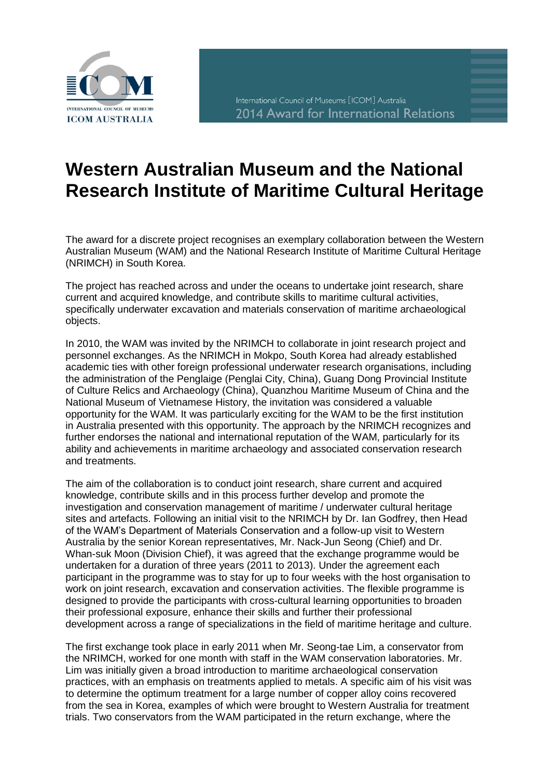

## **Western Australian Museum and the National Research Institute of Maritime Cultural Heritage**

The award for a discrete project recognises an exemplary collaboration between the Western Australian Museum (WAM) and the National Research Institute of Maritime Cultural Heritage (NRIMCH) in South Korea.

The project has reached across and under the oceans to undertake joint research, share current and acquired knowledge, and contribute skills to maritime cultural activities, specifically underwater excavation and materials conservation of maritime archaeological objects.

In 2010, the WAM was invited by the NRIMCH to collaborate in joint research project and personnel exchanges. As the NRIMCH in Mokpo, South Korea had already established academic ties with other foreign professional underwater research organisations, including the administration of the Penglaige (Penglai City, China), Guang Dong Provincial Institute of Culture Relics and Archaeology (China), Quanzhou Maritime Museum of China and the National Museum of Vietnamese History, the invitation was considered a valuable opportunity for the WAM. It was particularly exciting for the WAM to be the first institution in Australia presented with this opportunity. The approach by the NRIMCH recognizes and further endorses the national and international reputation of the WAM, particularly for its ability and achievements in maritime archaeology and associated conservation research and treatments.

The aim of the collaboration is to conduct joint research, share current and acquired knowledge, contribute skills and in this process further develop and promote the investigation and conservation management of maritime / underwater cultural heritage sites and artefacts. Following an initial visit to the NRIMCH by Dr. Ian Godfrey, then Head of the WAM's Department of Materials Conservation and a follow-up visit to Western Australia by the senior Korean representatives, Mr. Nack-Jun Seong (Chief) and Dr. Whan-suk Moon (Division Chief), it was agreed that the exchange programme would be undertaken for a duration of three years (2011 to 2013). Under the agreement each participant in the programme was to stay for up to four weeks with the host organisation to work on joint research, excavation and conservation activities. The flexible programme is designed to provide the participants with cross-cultural learning opportunities to broaden their professional exposure, enhance their skills and further their professional development across a range of specializations in the field of maritime heritage and culture.

The first exchange took place in early 2011 when Mr. Seong-tae Lim, a conservator from the NRIMCH, worked for one month with staff in the WAM conservation laboratories. Mr. Lim was initially given a broad introduction to maritime archaeological conservation practices, with an emphasis on treatments applied to metals. A specific aim of his visit was to determine the optimum treatment for a large number of copper alloy coins recovered from the sea in Korea, examples of which were brought to Western Australia for treatment trials. Two conservators from the WAM participated in the return exchange, where the